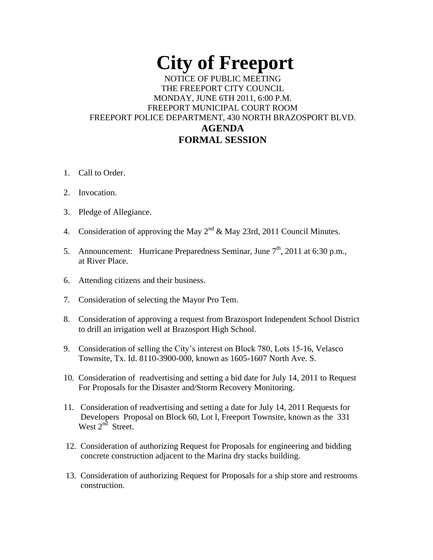# **City of Freeport**  NOTICE OF PUBLIC MEETING THE FREEPORT CITY COUNCIL MONDAY, JUNE 6TH 2011, 6:00 P.M. FREEPORT MUNICIPAL COURT ROOM FREEPORT POLICE DEPARTMENT, 430 NORTH BRAZOSPORT BLVD. **AGENDA FORMAL SESSION**

- 1. Call to Order.
- 2. Invocation.
- 3. Pledge of Allegiance.
- 4. Consideration of approving the May  $2^{nd}$  & May 23rd, 2011 Council Minutes.
- 5. Announcement: Hurricane Preparedness Seminar, June  $7<sup>th</sup>$ , 2011 at 6:30 p.m., at River Place.
- 6. Attending citizens and their business.
- 7. Consideration of selecting the Mayor Pro Tem.
- 8. Consideration of approving a request from Brazosport Independent School District to drill an irrigation well at Brazosport High School.
- 9. Consideration of selling the City's interest on Block 780, Lots 15-16, Velasco Townsite, Tx. Id. 8110-3900-000, known as 1605-1607 North Ave. S.
- 10. Consideration of readvertising and setting a bid date for July 14, 2011 to Request For Proposals for the Disaster and/Storm Recovery Monitoring.
- 11. Consideration of readvertising and setting a date for July 14, 2011 Requests for Developers Proposal on Block 60, Lot l, Freeport Townsite, known as the 331 West  $2^{nd}$  Street.
- 12. Consideration of authorizing Request for Proposals for engineering and bidding concrete construction adjacent to the Marina dry stacks building.
- 13. Consideration of authorizing Request for Proposals for a ship store and restrooms construction.